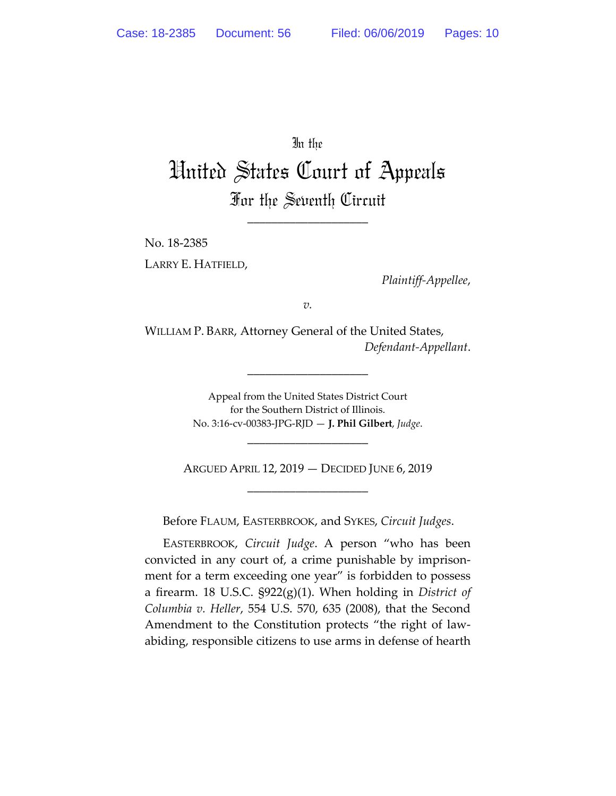In the

## United States Court of Appeals For the Seventh Circuit

\_\_\_\_\_\_\_\_\_\_\_\_\_\_\_\_\_\_\_\_

No. 18‐2385 LARRY E. HATFIELD,

*Plaintiff‐Appellee*,

*v.*

WILLIAM P. BARR, Attorney General of the United States, *Defendant‐Appellant*.

\_\_\_\_\_\_\_\_\_\_\_\_\_\_\_\_\_\_\_\_

Appeal from the United States District Court for the Southern District of Illinois. No. 3:16‐cv‐00383‐JPG‐RJD — **J. Phil Gilbert**, *Judge*.

ARGUED APRIL 12, 2019 — DECIDED JUNE 6, 2019 \_\_\_\_\_\_\_\_\_\_\_\_\_\_\_\_\_\_\_\_

\_\_\_\_\_\_\_\_\_\_\_\_\_\_\_\_\_\_\_\_

Before FLAUM, EASTERBROOK, and SYKES, *Circuit Judges*.

EASTERBROOK, *Circuit Judge*. A person "who has been convicted in any court of, a crime punishable by imprison‐ ment for a term exceeding one year" is forbidden to possess a firearm. 18 U.S.C. §922(g)(1). When holding in *District of Columbia v. Heller*, 554 U.S. 570, 635 (2008), that the Second Amendment to the Constitution protects "the right of law‐ abiding, responsible citizens to use arms in defense of hearth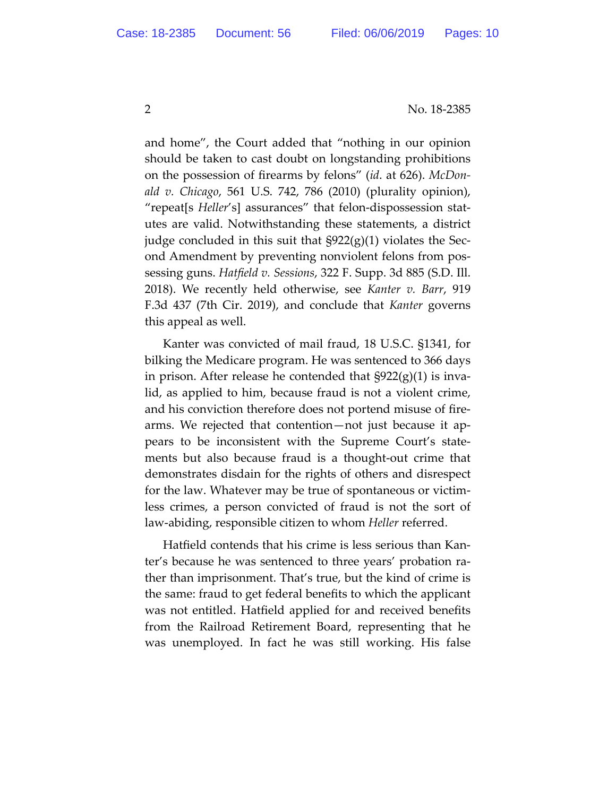2 No. 18‐2385

and home", the Court added that "nothing in our opinion should be taken to cast doubt on longstanding prohibitions on the possession of firearms by felons" (*id*. at 626). *McDon‐ ald v. Chicago*, 561 U.S. 742, 786 (2010) (plurality opinion), "repeat[s *Heller*'s] assurances" that felon‐dispossession stat‐ utes are valid. Notwithstanding these statements, a district judge concluded in this suit that §922(g)(1) violates the Sec‐ ond Amendment by preventing nonviolent felons from pos‐ sessing guns. *Hatfield v. Sessions*, 322 F. Supp. 3d 885 (S.D. Ill. 2018). We recently held otherwise, see *Kanter v. Barr*, 919 F.3d 437 (7th Cir. 2019), and conclude that *Kanter* governs this appeal as well.

Kanter was convicted of mail fraud, 18 U.S.C. §1341, for bilking the Medicare program. He was sentenced to 366 days in prison. After release he contended that  $\S 922(g)(1)$  is invalid, as applied to him, because fraud is not a violent crime, and his conviction therefore does not portend misuse of fire‐ arms. We rejected that contention—not just because it ap‐ pears to be inconsistent with the Supreme Court's state‐ ments but also because fraud is a thought‐out crime that demonstrates disdain for the rights of others and disrespect for the law. Whatever may be true of spontaneous or victim‐ less crimes, a person convicted of fraud is not the sort of law‐abiding, responsible citizen to whom *Heller* referred.

Hatfield contends that his crime is less serious than Kan‐ ter's because he was sentenced to three years' probation ra‐ ther than imprisonment. That's true, but the kind of crime is the same: fraud to get federal benefits to which the applicant was not entitled. Hatfield applied for and received benefits from the Railroad Retirement Board, representing that he was unemployed. In fact he was still working. His false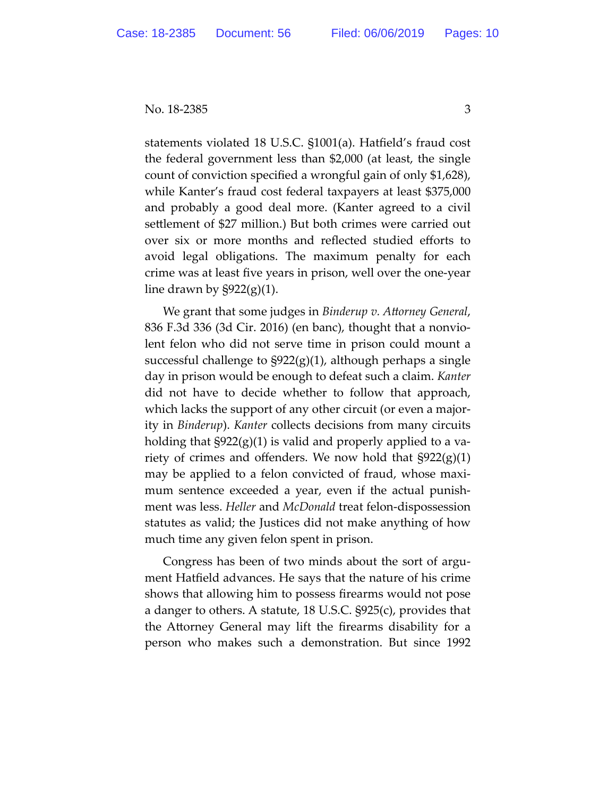statements violated 18 U.S.C. §1001(a). Hatfield's fraud cost the federal government less than \$2,000 (at least, the single count of conviction specified a wrongful gain of only \$1,628), while Kanter's fraud cost federal taxpayers at least \$375,000 and probably a good deal more. (Kanter agreed to a civil settlement of \$27 million.) But both crimes were carried out over six or more months and reflected studied efforts to avoid legal obligations. The maximum penalty for each crime was at least five years in prison, well over the one‐year line drawn by  $\S 922(g)(1)$ .

We grant that some judges in *Binderup v. Attorney General*, 836 F.3d 336 (3d Cir. 2016) (en banc), thought that a nonvio‐ lent felon who did not serve time in prison could mount a successful challenge to §922(g)(1), although perhaps a single day in prison would be enough to defeat such a claim. *Kanter* did not have to decide whether to follow that approach, which lacks the support of any other circuit (or even a majority in *Binderup*). *Kanter* collects decisions from many circuits holding that  $\S 922(g)(1)$  is valid and properly applied to a variety of crimes and offenders. We now hold that  $\S 922(g)(1)$ may be applied to a felon convicted of fraud, whose maxi‐ mum sentence exceeded a year, even if the actual punishment was less. *Heller* and *McDonald* treat felon‐dispossession statutes as valid; the Justices did not make anything of how much time any given felon spent in prison.

Congress has been of two minds about the sort of argu‐ ment Hatfield advances. He says that the nature of his crime shows that allowing him to possess firearms would not pose a danger to others. A statute, 18 U.S.C. §925(c), provides that the Attorney General may lift the firearms disability for a person who makes such a demonstration. But since 1992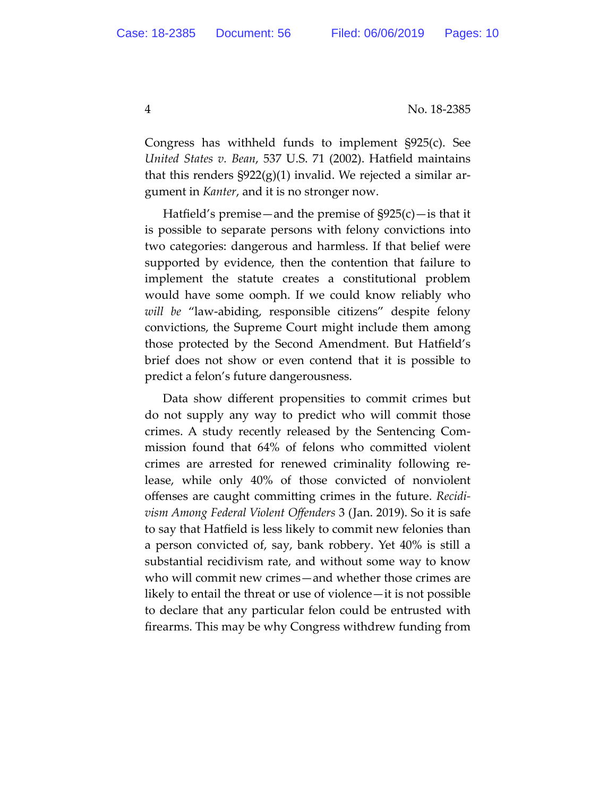4 No. 18‐2385

Congress has withheld funds to implement §925(c). See *United States v. Bean*, 537 U.S. 71 (2002). Hatfield maintains that this renders  $\S 922(g)(1)$  invalid. We rejected a similar argument in *Kanter*, and it is no stronger now.

Hatfield's premise—and the premise of  $\frac{925(c)}{c}$  is that it is possible to separate persons with felony convictions into two categories: dangerous and harmless. If that belief were supported by evidence, then the contention that failure to implement the statute creates a constitutional problem would have some oomph. If we could know reliably who *will be* "law‐abiding, responsible citizens" despite felony convictions, the Supreme Court might include them among those protected by the Second Amendment. But Hatfield's brief does not show or even contend that it is possible to predict a felon's future dangerousness.

Data show different propensities to commit crimes but do not supply any way to predict who will commit those crimes. A study recently released by the Sentencing Com‐ mission found that 64% of felons who committed violent crimes are arrested for renewed criminality following re‐ lease, while only 40% of those convicted of nonviolent offenses are caught committing crimes in the future. *Recidi‐ vism Among Federal Violent Offenders* 3 (Jan. 2019). So it is safe to say that Hatfield is less likely to commit new felonies than a person convicted of, say, bank robbery. Yet 40% is still a substantial recidivism rate, and without some way to know who will commit new crimes—and whether those crimes are likely to entail the threat or use of violence—it is not possible to declare that any particular felon could be entrusted with firearms. This may be why Congress withdrew funding from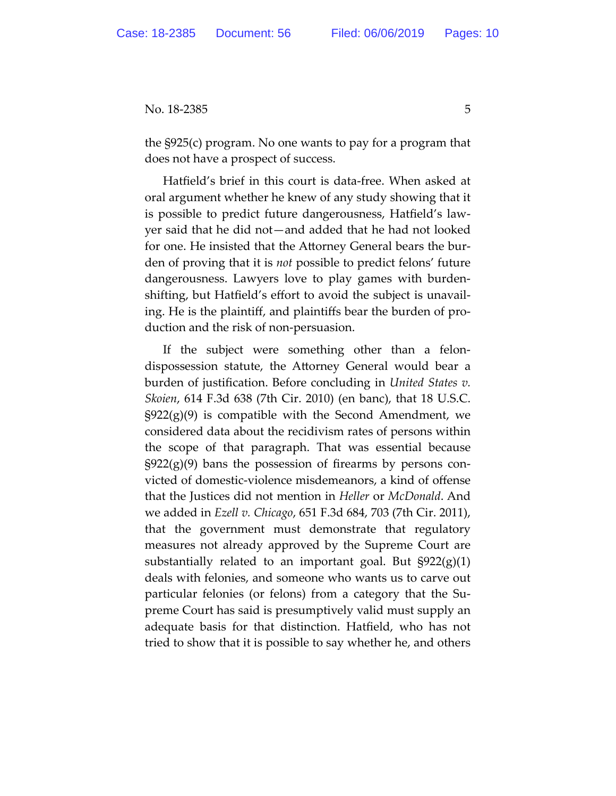the §925(c) program. No one wants to pay for a program that does not have a prospect of success.

Hatfield's brief in this court is data‐free. When asked at oral argument whether he knew of any study showing that it is possible to predict future dangerousness, Hatfield's law‐ yer said that he did not—and added that he had not looked for one. He insisted that the Attorney General bears the bur‐ den of proving that it is *not* possible to predict felons' future dangerousness. Lawyers love to play games with burden‐ shifting, but Hatfield's effort to avoid the subject is unavail‐ ing. He is the plaintiff, and plaintiffs bear the burden of pro‐ duction and the risk of non‐persuasion.

If the subject were something other than a felon‐ dispossession statute, the Attorney General would bear a burden of justification. Before concluding in *United States v. Skoien*, 614 F.3d 638 (7th Cir. 2010) (en banc), that 18 U.S.C.  $\S922(g)(9)$  is compatible with the Second Amendment, we considered data about the recidivism rates of persons within the scope of that paragraph. That was essential because  $\S 922(g)(9)$  bans the possession of firearms by persons convicted of domestic‐violence misdemeanors, a kind of offense that the Justices did not mention in *Heller* or *McDonald*. And we added in *Ezell v. Chicago*, 651 F.3d 684, 703 (7th Cir. 2011), that the government must demonstrate that regulatory measures not already approved by the Supreme Court are substantially related to an important goal. But  $\S 922(g)(1)$ deals with felonies, and someone who wants us to carve out particular felonies (or felons) from a category that the Su‐ preme Court has said is presumptively valid must supply an adequate basis for that distinction. Hatfield, who has not tried to show that it is possible to say whether he, and others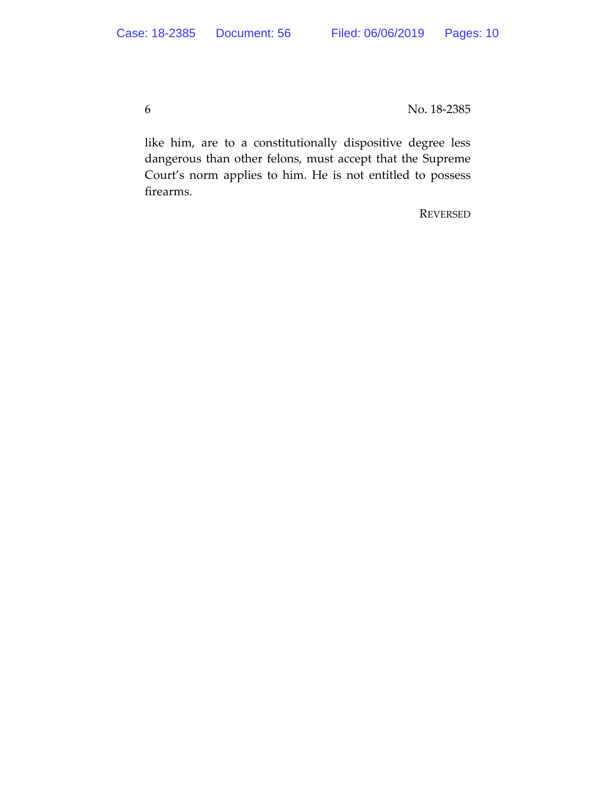6 No. 18‐2385

like him, are to a constitutionally dispositive degree less dangerous than other felons, must accept that the Supreme Court's norm applies to him. He is not entitled to possess firearms.

REVERSED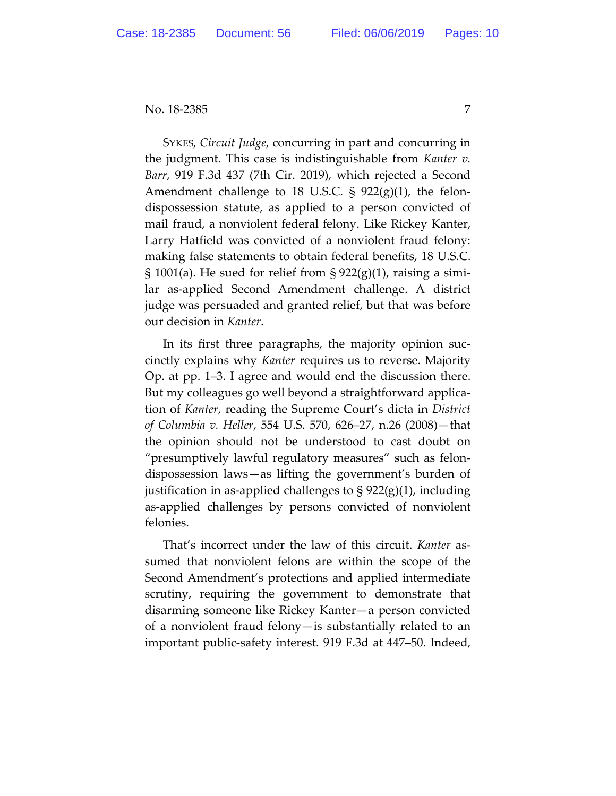SYKES, *Circuit Judge*, concurring in part and concurring in the judgment. This case is indistinguishable from *Kanter v. Barr*, 919 F.3d 437 (7th Cir. 2019), which rejected a Second Amendment challenge to 18 U.S.C.  $\S$  922(g)(1), the felondispossession statute, as applied to a person convicted of mail fraud, a nonviolent federal felony. Like Rickey Kanter, Larry Hatfield was convicted of a nonviolent fraud felony: making false statements to obtain federal benefits, 18 U.S.C.  $\S$  1001(a). He sued for relief from  $\S$  922(g)(1), raising a similar as-applied Second Amendment challenge. A district judge was persuaded and granted relief, but that was before our decision in *Kanter*.

In its first three paragraphs, the majority opinion succinctly explains why *Kanter* requires us to reverse. Majority Op. at pp. 1–3. I agree and would end the discussion there. But my colleagues go well beyond a straightforward application of *Kanter*, reading the Supreme Court's dicta in *District of Columbia v. Heller*, 554 U.S. 570, 626–27, n.26 (2008)—that the opinion should not be understood to cast doubt on "presumptively lawful regulatory measures" such as felondispossession laws—as lifting the government's burden of justification in as-applied challenges to  $\S 922(g)(1)$ , including as-applied challenges by persons convicted of nonviolent felonies.

That's incorrect under the law of this circuit. *Kanter* assumed that nonviolent felons are within the scope of the Second Amendment's protections and applied intermediate scrutiny, requiring the government to demonstrate that disarming someone like Rickey Kanter—a person convicted of a nonviolent fraud felony—is substantially related to an important public-safety interest. 919 F.3d at 447–50. Indeed,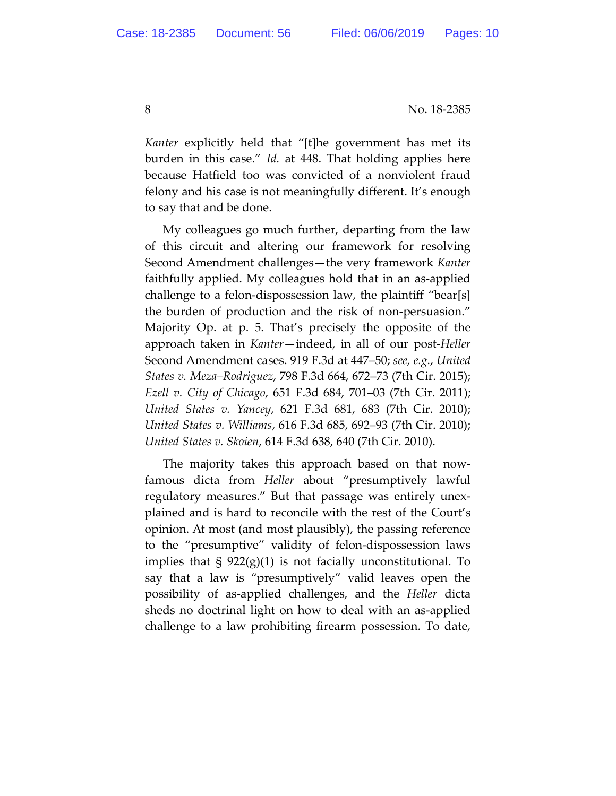8 No. 18-2385

*Kanter* explicitly held that "[t]he government has met its burden in this case." *Id.* at 448. That holding applies here because Hatfield too was convicted of a nonviolent fraud felony and his case is not meaningfully different. It's enough to say that and be done.

My colleagues go much further, departing from the law of this circuit and altering our framework for resolving Second Amendment challenges—the very framework *Kanter* faithfully applied. My colleagues hold that in an as-applied challenge to a felon-dispossession law, the plaintiff "bear[s] the burden of production and the risk of non-persuasion." Majority Op. at p. 5. That's precisely the opposite of the approach taken in *Kanter*—indeed, in all of our post-*Heller*  Second Amendment cases. 919 F.3d at 447–50; *see, e.g.*, *United States v. Meza–Rodriguez*, 798 F.3d 664, 672–73 (7th Cir. 2015); *Ezell v. City of Chicago*, 651 F.3d 684, 701–03 (7th Cir. 2011); *United States v. Yancey*, 621 F.3d 681, 683 (7th Cir. 2010); *United States v. Williams*, 616 F.3d 685, 692–93 (7th Cir. 2010); *United States v. Skoien*, 614 F.3d 638, 640 (7th Cir. 2010).

The majority takes this approach based on that nowfamous dicta from *Heller* about "presumptively lawful regulatory measures." But that passage was entirely unexplained and is hard to reconcile with the rest of the Court's opinion. At most (and most plausibly), the passing reference to the "presumptive" validity of felon-dispossession laws implies that § 922(g)(1) is not facially unconstitutional. To say that a law is "presumptively" valid leaves open the possibility of as-applied challenges, and the *Heller* dicta sheds no doctrinal light on how to deal with an as-applied challenge to a law prohibiting firearm possession. To date,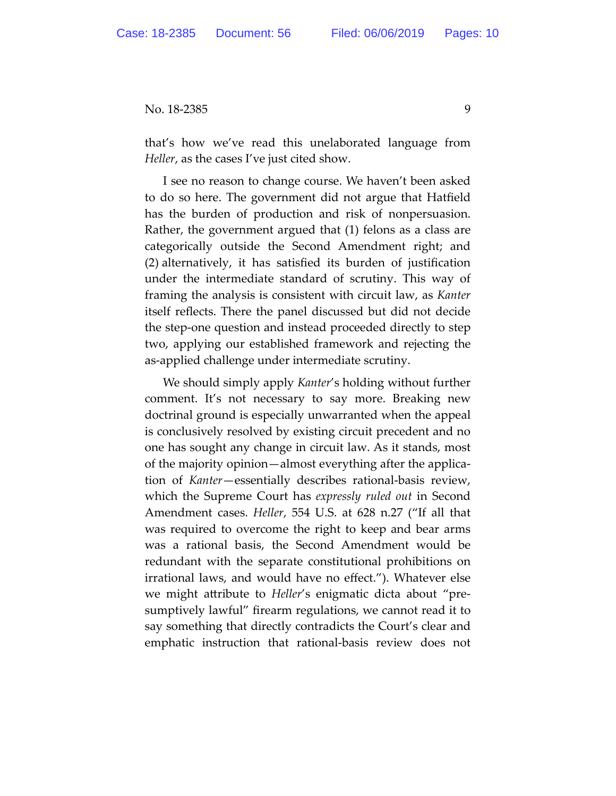that's how we've read this unelaborated language from *Heller*, as the cases I've just cited show.

I see no reason to change course. We haven't been asked to do so here. The government did not argue that Hatfield has the burden of production and risk of nonpersuasion. Rather, the government argued that (1) felons as a class are categorically outside the Second Amendment right; and (2) alternatively, it has satisfied its burden of justification under the intermediate standard of scrutiny. This way of framing the analysis is consistent with circuit law, as *Kanter* itself reflects. There the panel discussed but did not decide the step-one question and instead proceeded directly to step two, applying our established framework and rejecting the as-applied challenge under intermediate scrutiny.

We should simply apply *Kanter*'s holding without further comment. It's not necessary to say more. Breaking new doctrinal ground is especially unwarranted when the appeal is conclusively resolved by existing circuit precedent and no one has sought any change in circuit law. As it stands, most of the majority opinion—almost everything after the application of *Kanter*—essentially describes rational-basis review, which the Supreme Court has *expressly ruled out* in Second Amendment cases. *Heller*, 554 U.S. at 628 n.27 ("If all that was required to overcome the right to keep and bear arms was a rational basis, the Second Amendment would be redundant with the separate constitutional prohibitions on irrational laws, and would have no effect."). Whatever else we might attribute to *Heller*'s enigmatic dicta about "presumptively lawful" firearm regulations, we cannot read it to say something that directly contradicts the Court's clear and emphatic instruction that rational-basis review does not